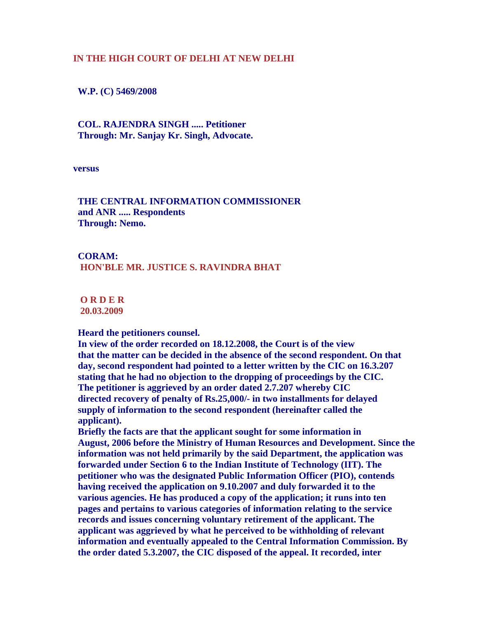## **IN THE HIGH COURT OF DELHI AT NEW DELHI**

 **W.P. (C) 5469/2008** 

 **COL. RAJENDRA SINGH ..... Petitioner Through: Mr. Sanjay Kr. Singh, Advocate.** 

**versus** 

 **THE CENTRAL INFORMATION COMMISSIONER and ANR ..... Respondents Through: Nemo.** 

 **CORAM: HON'BLE MR. JUSTICE S. RAVINDRA BHAT**

 **O R D E R 20.03.2009**

 **Heard the petitioners counsel.** 

 **In view of the order recorded on 18.12.2008, the Court is of the view that the matter can be decided in the absence of the second respondent. On that day, second respondent had pointed to a letter written by the CIC on 16.3.207 stating that he had no objection to the dropping of proceedings by the CIC. The petitioner is aggrieved by an order dated 2.7.207 whereby CIC directed recovery of penalty of Rs.25,000/- in two installments for delayed supply of information to the second respondent (hereinafter called the applicant).** 

 **Briefly the facts are that the applicant sought for some information in August, 2006 before the Ministry of Human Resources and Development. Since the information was not held primarily by the said Department, the application was forwarded under Section 6 to the Indian Institute of Technology (IIT). The petitioner who was the designated Public Information Officer (PIO), contends having received the application on 9.10.2007 and duly forwarded it to the various agencies. He has produced a copy of the application; it runs into ten pages and pertains to various categories of information relating to the service records and issues concerning voluntary retirement of the applicant. The applicant was aggrieved by what he perceived to be withholding of relevant information and eventually appealed to the Central Information Commission. By the order dated 5.3.2007, the CIC disposed of the appeal. It recorded, inter**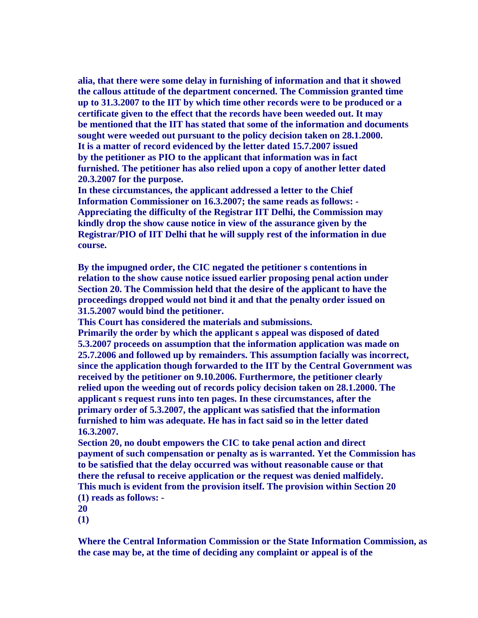**alia, that there were some delay in furnishing of information and that it showed the callous attitude of the department concerned. The Commission granted time up to 31.3.2007 to the IIT by which time other records were to be produced or a certificate given to the effect that the records have been weeded out. It may be mentioned that the IIT has stated that some of the information and documents sought were weeded out pursuant to the policy decision taken on 28.1.2000. It is a matter of record evidenced by the letter dated 15.7.2007 issued by the petitioner as PIO to the applicant that information was in fact furnished. The petitioner has also relied upon a copy of another letter dated 20.3.2007 for the purpose.** 

 **In these circumstances, the applicant addressed a letter to the Chief Information Commissioner on 16.3.2007; the same reads as follows: - Appreciating the difficulty of the Registrar IIT Delhi, the Commission may kindly drop the show cause notice in view of the assurance given by the Registrar/PIO of IIT Delhi that he will supply rest of the information in due course.** 

 **By the impugned order, the CIC negated the petitioner s contentions in relation to the show cause notice issued earlier proposing penal action under Section 20. The Commission held that the desire of the applicant to have the proceedings dropped would not bind it and that the penalty order issued on 31.5.2007 would bind the petitioner.** 

 **This Court has considered the materials and submissions.** 

 **Primarily the order by which the applicant s appeal was disposed of dated 5.3.2007 proceeds on assumption that the information application was made on 25.7.2006 and followed up by remainders. This assumption facially was incorrect, since the application though forwarded to the IIT by the Central Government was received by the petitioner on 9.10.2006. Furthermore, the petitioner clearly relied upon the weeding out of records policy decision taken on 28.1.2000. The applicant s request runs into ten pages. In these circumstances, after the primary order of 5.3.2007, the applicant was satisfied that the information furnished to him was adequate. He has in fact said so in the letter dated 16.3.2007.** 

 **Section 20, no doubt empowers the CIC to take penal action and direct payment of such compensation or penalty as is warranted. Yet the Commission has to be satisfied that the delay occurred was without reasonable cause or that there the refusal to receive application or the request was denied malfidely. This much is evident from the provision itself. The provision within Section 20 (1) reads as follows: -** 

 **20** 

 **(1)** 

 **Where the Central Information Commission or the State Information Commission, as the case may be, at the time of deciding any complaint or appeal is of the**